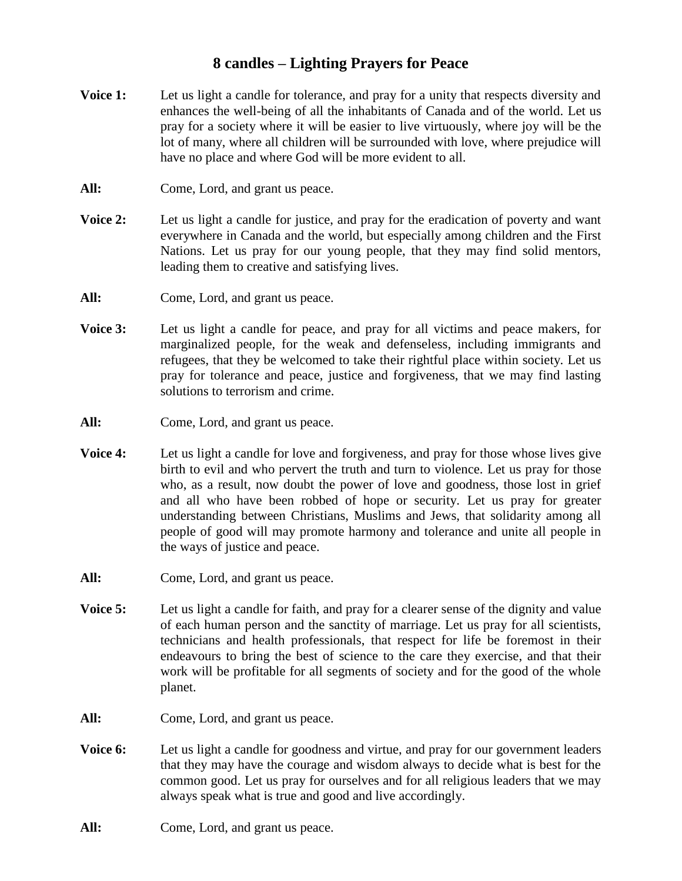## **8 candles – Lighting Prayers for Peace**

- **Voice 1:** Let us light a candle for tolerance, and pray for a unity that respects diversity and enhances the well-being of all the inhabitants of Canada and of the world. Let us pray for a society where it will be easier to live virtuously, where joy will be the lot of many, where all children will be surrounded with love, where prejudice will have no place and where God will be more evident to all.
- All: Come, Lord, and grant us peace.
- **Voice 2:** Let us light a candle for justice, and pray for the eradication of poverty and want everywhere in Canada and the world, but especially among children and the First Nations. Let us pray for our young people, that they may find solid mentors, leading them to creative and satisfying lives.
- All: Come, Lord, and grant us peace.
- **Voice 3:** Let us light a candle for peace, and pray for all victims and peace makers, for marginalized people, for the weak and defenseless, including immigrants and refugees, that they be welcomed to take their rightful place within society. Let us pray for tolerance and peace, justice and forgiveness, that we may find lasting solutions to terrorism and crime.
- All: Come, Lord, and grant us peace.
- **Voice 4:** Let us light a candle for love and forgiveness, and pray for those whose lives give birth to evil and who pervert the truth and turn to violence. Let us pray for those who, as a result, now doubt the power of love and goodness, those lost in grief and all who have been robbed of hope or security. Let us pray for greater understanding between Christians, Muslims and Jews, that solidarity among all people of good will may promote harmony and tolerance and unite all people in the ways of justice and peace.
- All: Come, Lord, and grant us peace.
- **Voice 5:** Let us light a candle for faith, and pray for a clearer sense of the dignity and value of each human person and the sanctity of marriage. Let us pray for all scientists, technicians and health professionals, that respect for life be foremost in their endeavours to bring the best of science to the care they exercise, and that their work will be profitable for all segments of society and for the good of the whole planet.
- All: Come, Lord, and grant us peace.
- **Voice 6:** Let us light a candle for goodness and virtue, and pray for our government leaders that they may have the courage and wisdom always to decide what is best for the common good. Let us pray for ourselves and for all religious leaders that we may always speak what is true and good and live accordingly.
- All: Come, Lord, and grant us peace.